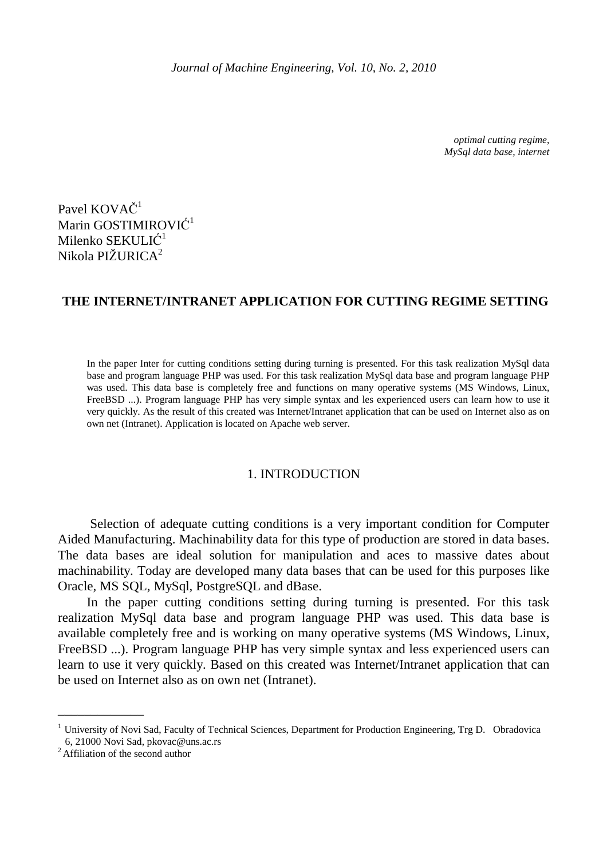*optimal cutting regime, MySql data base, internet* 

Pavel KOVAČ<sup>1</sup> Marin GOSTIMIROVIĆ 1 Milenko S ${\rm E}{\rm K}{\rm U}{\rm LI}\mathrm{C}^1$ Nikola PIŽURICA<sup>2</sup>

# **THE INTERNET/INTRANET APPLICATION FOR CUTTING REGIME SETTING**

In the paper Inter for cutting conditions setting during turning is presented. For this task realization MySql data base and program language PHP was used. For this task realization MySql data base and program language PHP was used. This data base is completely free and functions on many operative systems (MS Windows, Linux, FreeBSD ...). Program language PHP has very simple syntax and les experienced users can learn how to use it very quickly. As the result of this created was Internet/Intranet application that can be used on Internet also as on own net (Intranet). Application is located on Apache web server.

## 1. INTRODUCTION

 Selection of adequate cutting conditions is a very important condition for Computer Aided Manufacturing. Machinability data for this type of production are stored in data bases. The data bases are ideal solution for manipulation and aces to massive dates about machinability. Today are developed many data bases that can be used for this purposes like Oracle, MS SQL, MySql, PostgreSQL and dBase.

In the paper cutting conditions setting during turning is presented. For this task realization MySql data base and program language PHP was used. This data base is available completely free and is working on many operative systems (MS Windows, Linux, FreeBSD ...). Program language PHP has very simple syntax and less experienced users can learn to use it very quickly. Based on this created was Internet/Intranet application that can be used on Internet also as on own net (Intranet).

\_\_\_\_\_\_\_\_\_\_\_\_\_

 $1$  University of Novi Sad, Faculty of Technical Sciences, Department for Production Engineering, Trg D. Obradovica 6, 21000 Novi Sad, pkovac@uns.ac.rs

<sup>&</sup>lt;sup>2</sup> Affiliation of the second author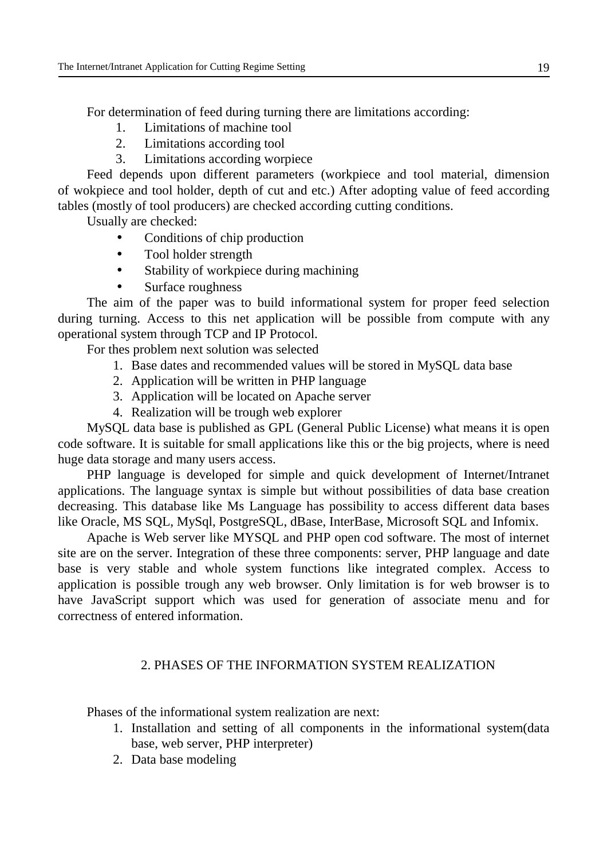For determination of feed during turning there are limitations according:

- 1. Limitations of machine tool
- 2. Limitations according tool
- 3. Limitations according worpiece

 Feed depends upon different parameters (workpiece and tool material, dimension of wokpiece and tool holder, depth of cut and etc.) After adopting value of feed according tables (mostly of tool producers) are checked according cutting conditions.

Usually are checked:

- Conditions of chip production
- Tool holder strength
- Stability of workpiece during machining
- Surface roughness

 The aim of the paper was to build informational system for proper feed selection during turning. Access to this net application will be possible from compute with any operational system through TCP and IP Protocol.

For thes problem next solution was selected

- 1. Base dates and recommended values will be stored in MySQL data base
- 2. Application will be written in PHP language
- 3. Application will be located on Apache server
- 4. Realization will be trough web explorer

 MySQL data base is published as GPL (General Public License) what means it is open code software. It is suitable for small applications like this or the big projects, where is need huge data storage and many users access.

 PHP language is developed for simple and quick development of Internet/Intranet applications. The language syntax is simple but without possibilities of data base creation decreasing. This database like Ms Language has possibility to access different data bases like Oracle, MS SQL, MySql, PostgreSQL, dBase, InterBase, Microsoft SQL and Infomix.

Apache is Web server like MYSQL and PHP open cod software. The most of internet site are on the server. Integration of these three components: server, PHP language and date base is very stable and whole system functions like integrated complex. Access to application is possible trough any web browser. Only limitation is for web browser is to have JavaScript support which was used for generation of associate menu and for correctness of entered information.

# 2. PHASES OF THE INFORMATION SYSTEM REALIZATION

Phases of the informational system realization are next:

- 1. Installation and setting of all components in the informational system(data base, web server, PHP interpreter)
- 2. Data base modeling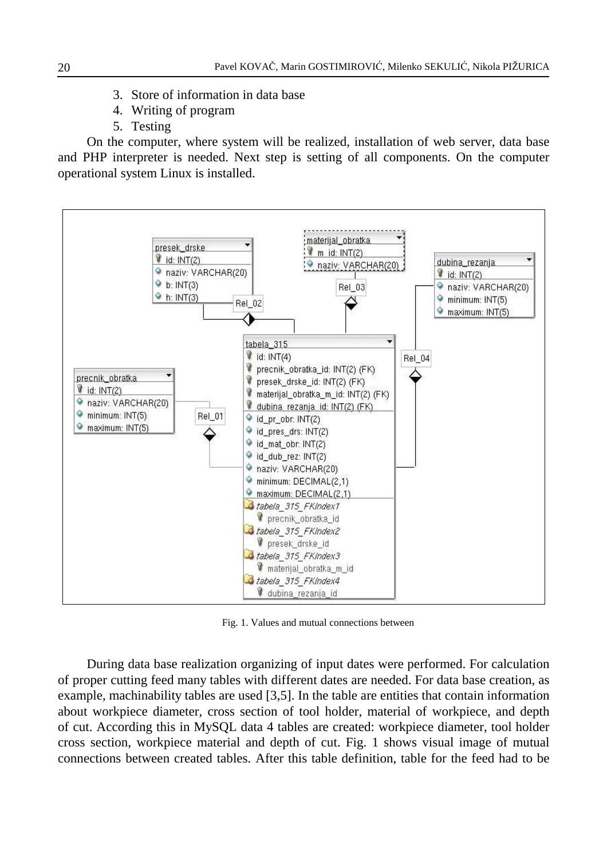- 3. Store of information in data base
- 4. Writing of program
- 5. Testing

On the computer, where system will be realized, installation of web server, data base and PHP interpreter is needed. Next step is setting of all components. On the computer operational system Linux is installed.



Fig. 1. Values and mutual connections between

During data base realization organizing of input dates were performed. For calculation of proper cutting feed many tables with different dates are needed. For data base creation, as example, machinability tables are used [3,5]. In the table are entities that contain information about workpiece diameter, cross section of tool holder, material of workpiece, and depth of cut. According this in MySQL data 4 tables are created: workpiece diameter, tool holder cross section, workpiece material and depth of cut. Fig. 1 shows visual image of mutual connections between created tables. After this table definition, table for the feed had to be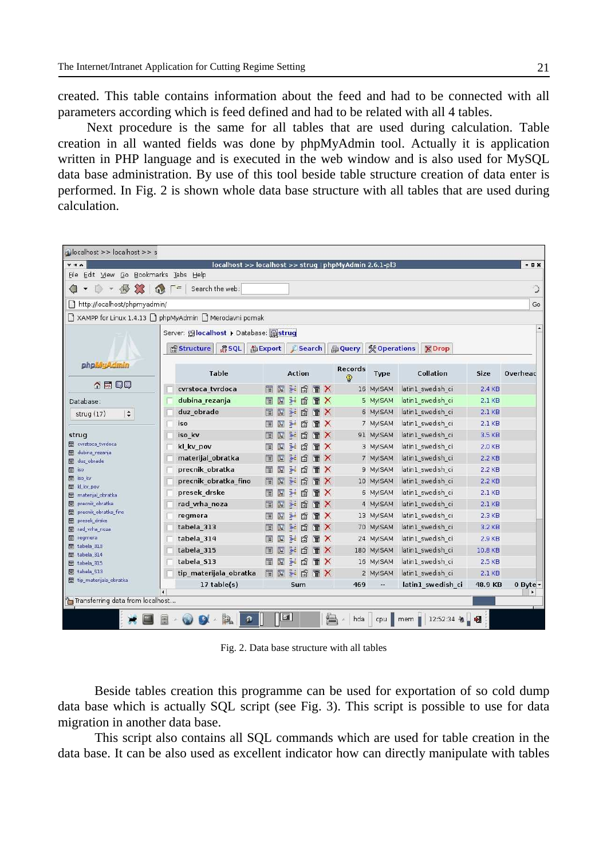created. This table contains information about the feed and had to be connected with all parameters according which is feed defined and had to be related with all 4 tables.

Next procedure is the same for all tables that are used during calculation. Table creation in all wanted fields was done by phpMyAdmin tool. Actually it is application written in PHP language and is executed in the web window and is also used for MySQL data base administration. By use of this tool beside table structure creation of data enter is performed. In Fig. 2 is shown whole data base structure with all tables that are used during calculation.

| blocalhost >> localhost >> s                    |                                                        |    |                |                          |               |   |                       |                           |                                      |                   |          |                  |
|-------------------------------------------------|--------------------------------------------------------|----|----------------|--------------------------|---------------|---|-----------------------|---------------------------|--------------------------------------|-------------------|----------|------------------|
| $Y + A$                                         | localhost >> localhost >> strug   phpMyAdmin 2.6.1-pl3 |    |                |                          |               |   |                       |                           |                                      |                   |          | $-$ <b>D</b> $x$ |
| Edit View Go Bookmarks Tabs Help<br>File        |                                                        |    |                |                          |               |   |                       |                           |                                      |                   |          |                  |
| $\mathcal{Z}$<br>√<br>$\rightarrow$<br>$\omega$ | Search the web:<br>$\equiv$                            |    |                |                          |               |   |                       |                           |                                      |                   |          | ଼ି               |
| http://localhost/phpmyadmin/                    |                                                        |    |                |                          |               |   |                       |                           |                                      |                   |          | Go               |
|                                                 | XAMPP for Linux 1.4.13   phpMyAdmin   Merodavni pomak  |    |                |                          |               |   |                       |                           |                                      |                   |          |                  |
|                                                 | Server: Glocalhost > Database: Gstrug                  |    |                |                          |               |   |                       |                           |                                      |                   |          |                  |
|                                                 | RSOL<br><b>i<sup>s</sup></b> Structure                 |    |                | eExport<br><b>Search</b> |               |   |                       | <b>AQuery</b>             | <b>% Operations</b><br><b>X</b> Drop |                   |          |                  |
|                                                 |                                                        |    |                |                          |               |   |                       |                           |                                      |                   |          |                  |
| phpMyAdmin                                      | Table                                                  |    |                |                          | <b>Action</b> |   |                       | Records<br>$\circledcirc$ | <b>Type</b>                          | Collation         | Size     | Overhead         |
| <b>소조 무다</b>                                    | cvrstoca tvrdoca                                       | 眉  | 腘              | <b>A</b>                 | 匫             | 而 | X                     |                           | 16 MyISAM                            | latin1 swedish ci | 2.4 KB   |                  |
| Database:                                       | dubina rezanja                                         | E  | 膻              | 14 图                     |               | 而 | $\times$              |                           | 5 MyISAM                             | latin1_swedish_ci | $2.1$ KB |                  |
| $\div$<br>strug $(17)$                          | duz obrade                                             | E  | 膤              | 融                        | 廇             |   |                       |                           | 6 MyISAM                             | latin1 swedish ci | $2.1$ KB |                  |
|                                                 | iso                                                    | 旧  | 矑              | 提                        | 阍             |   | ×                     |                           | 7 MyISAM                             | latin1 swedish ci | $2.1$ KB |                  |
| strug                                           | iso kv                                                 | E  | 賠              | 降市                       | 惛             |   | X                     |                           | 91 MyISAM                            | latin1 swedish ci | 3.5 KB   |                  |
| <b>目</b> cvrstoca_tvrdoca                       | kl kv pov                                              | E  | 82             | 驿                        | 图             | 而 | $\mathsf{x}$          |                           | 3 MyISAM                             | latin1_swedish_ci | 2.0 KB   |                  |
| 目 dubina_rezanja<br>duz_obrade                  | materijal obratka                                      | 眉  | B <sup>2</sup> | 躁                        | 膺             |   | X                     |                           | 7 MyISAM                             | latin1 swedish ci | $2.2$ KB |                  |
| 目 iso                                           | precnik obratka                                        | 眉  | 膻              | 驿                        | 膺             | 而 | $\mathsf{x}$          |                           | 9 MyISAM                             | latin1 swedish ci | $2.2$ KB |                  |
| 目 iso_kv                                        | precnik_obratka_fino                                   | 眉  | 腘              | <b>A</b>                 | 匫             | 而 | ×                     |                           | 10 MyISAM                            | latin1 swedish ci | 2.2 KB   |                  |
| kl kv_pov<br>materijal obratka                  | presek drske                                           |    | 脾              | 聯                        | 图             | 而 | $\times$              |                           | 6 MyISAM                             | latin1 swedish ci | $2.1$ KB |                  |
| precnik_obratka                                 | rad vrha noza                                          | E  | ī.             | 좋다                       | 匫             |   |                       |                           | 4 MyISAM                             | latin1 swedish ci | $2.1$ KB |                  |
| 目 precnik_obratka_fino<br>presek drske          | regmera                                                | 眉  | 矑              | 瀑布                       | 阍             | m | $\boldsymbol{\times}$ |                           | 13 MyISAM                            | latin1 swedish ci | 2.3 KB   |                  |
| 目 rad_vrha_noza                                 | tabela 313                                             | IE | 12             | 茶                        | 惛             |   | X                     |                           | 70 MyISAM                            | latin1 swedish ci | 3.2 KB   |                  |
| 冒<br>regmera                                    | tabela 314                                             |    | 脾              | 14 图                     |               | 而 | $\boldsymbol{\times}$ |                           | 24 MyISAM                            | latin1 swedish ci | 2.9 KB   |                  |
| 目 tabela 313<br>tabela_314                      | tabela 315                                             | 肩  | B <sup>o</sup> | 隆                        | 膺             |   | Х                     |                           | 180 MyISAM                           | latin1 swedish ci | 10.8 KB  |                  |
| 目 tabela_315                                    | tabela S13                                             | 眉  | 駟              | 灩                        | 憍             | 而 | $\times$              |                           | 16 MyISAM                            | latin1 swedish ci | 2.5 KB   |                  |
| 目 tabela S13                                    | tip materijala obratka                                 | 眉  | 團              |                          | <b>NOTX</b>   |   |                       |                           | 2 MyISAM                             | latin1 swedish ci | 2.1KB    |                  |
| tip_materijala_obratka                          | 17 table(s)                                            |    |                |                          | Sum           |   |                       | 469                       |                                      | latin1 swedish ci | 48.9 KB  | $0$ Byte $\tau$  |
| Transferring data from localhost                |                                                        |    |                |                          |               |   |                       |                           |                                      |                   |          | ٠                |
|                                                 |                                                        |    |                |                          |               |   |                       |                           |                                      |                   |          |                  |
|                                                 |                                                        |    | 51             |                          |               |   | 编                     | hda                       | cpu                                  | 12:52:34<br>mem   |          |                  |

Fig. 2. Data base structure with all tables

Beside tables creation this programme can be used for exportation of so cold dump data base which is actually SQL script (see Fig. 3). This script is possible to use for data migration in another data base.

This script also contains all SQL commands which are used for table creation in the data base. It can be also used as excellent indicator how can directly manipulate with tables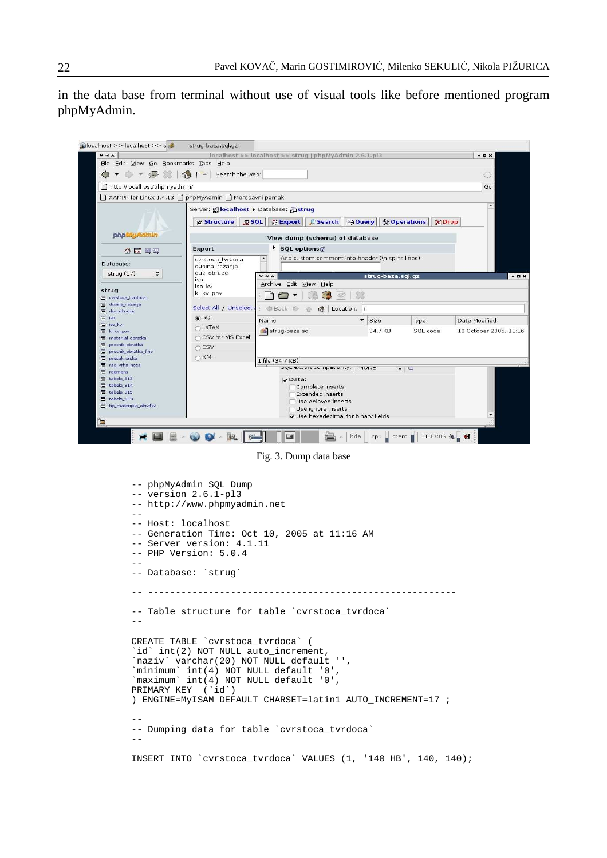in the data base from terminal without use of visual tools like before mentioned program phpMyAdmin.



Fig. 3. Dump data base

```
-- phpMyAdmin SQL Dump 
-- version 2.6.1-pl3 
-- http://www.phpmyadmin.net 
-- 
-- Host: localhost 
-- Generation Time: Oct 10, 2005 at 11:16 AM 
-- Server version: 4.1.11 
-- PHP Version: 5.0.4 
-- 
-- Database: `strug` 
-- -------------------------------------------------------- 
-- Table structure for table `cvrstoca_tvrdoca`
-- 
CREATE TABLE `cvrstoca_tvrdoca` ( 
`id` int(2) NOT NULL auto_increment, 
`naziv` varchar(20) NOT NULL default '', 
`minimum` int(4) NOT NULL default '0', 
`maximum` int(4) NOT NULL default '0', 
PRIMARY KEY (`id`) 
) ENGINE=MyISAM DEFAULT CHARSET=latin1 AUTO_INCREMENT=17 ; 
-- 
-- Dumping data for table `cvrstoca_tvrdoca` 
-- 
INSERT INTO `cvrstoca_tvrdoca` VALUES (1, '140 HB', 140, 140);
```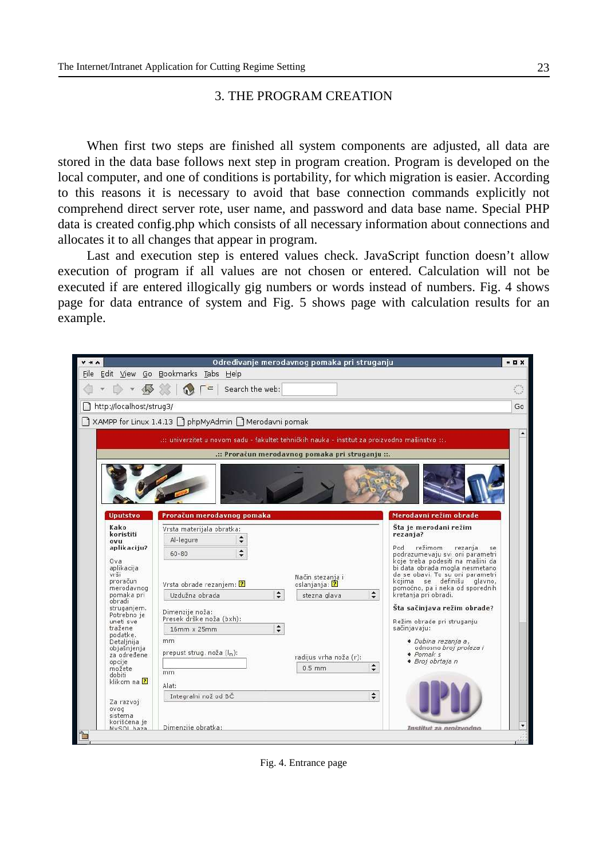## 3. THE PROGRAM CREATION

 When first two steps are finished all system components are adjusted, all data are stored in the data base follows next step in program creation. Program is developed on the local computer, and one of conditions is portability, for which migration is easier. According to this reasons it is necessary to avoid that base connection commands explicitly not comprehend direct server rote, user name, and password and data base name. Special PHP data is created config.php which consists of all necessary information about connections and allocates it to all changes that appear in program.

 Last and execution step is entered values check. JavaScript function doesn't allow execution of program if all values are not chosen or entered. Calculation will not be executed if are entered illogically gig numbers or words instead of numbers. Fig. 4 shows page for data entrance of system and Fig. 5 shows page with calculation results for an example.



Fig. 4. Entrance page